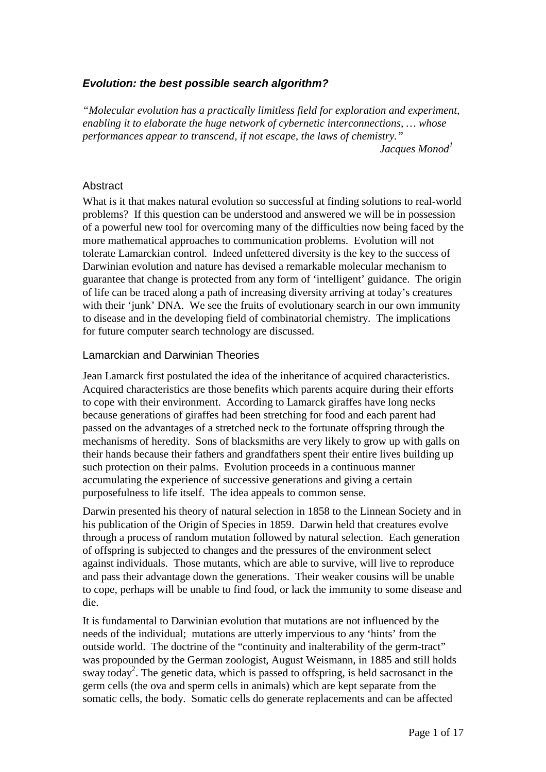# *Evolution: the best possible search algorithm?*

*"Molecular evolution has a practically limitless field for exploration and experiment, enabling it to elaborate the huge network of cybernetic interconnections, … whose performances appear to transcend, if not escape, the laws of chemistry."*

*Jacques Monod*<sup>1</sup>

## Abstract

What is it that makes natural evolution so successful at finding solutions to real-world problems? If this question can be understood and answered we will be in possession of a powerful new tool for overcoming many of the difficulties now being faced by the more mathematical approaches to communication problems. Evolution will not tolerate Lamarckian control. Indeed unfettered diversity is the key to the success of Darwinian evolution and nature has devised a remarkable molecular mechanism to guarantee that change is protected from any form of 'intelligent' guidance. The origin of life can be traced along a path of increasing diversity arriving at today's creatures with their 'junk' DNA. We see the fruits of evolutionary search in our own immunity to disease and in the developing field of combinatorial chemistry. The implications for future computer search technology are discussed.

## Lamarckian and Darwinian Theories

Jean Lamarck first postulated the idea of the inheritance of acquired characteristics. Acquired characteristics are those benefits which parents acquire during their efforts to cope with their environment. According to Lamarck giraffes have long necks because generations of giraffes had been stretching for food and each parent had passed on the advantages of a stretched neck to the fortunate offspring through the mechanisms of heredity. Sons of blacksmiths are very likely to grow up with galls on their hands because their fathers and grandfathers spent their entire lives building up such protection on their palms. Evolution proceeds in a continuous manner accumulating the experience of successive generations and giving a certain purposefulness to life itself. The idea appeals to common sense.

Darwin presented his theory of natural selection in 1858 to the Linnean Society and in his publication of the Origin of Species in 1859. Darwin held that creatures evolve through a process of random mutation followed by natural selection. Each generation of offspring is subjected to changes and the pressures of the environment select against individuals. Those mutants, which are able to survive, will live to reproduce and pass their advantage down the generations. Their weaker cousins will be unable to cope, perhaps will be unable to find food, or lack the immunity to some disease and die.

It is fundamental to Darwinian evolution that mutations are not influenced by the needs of the individual; mutations are utterly impervious to any 'hints' from the outside world. The doctrine of the "continuity and inalterability of the germ-tract" was propounded by the German zoologist, August Weismann, in 1885 and still holds sway today<sup>2</sup>. The genetic data, which is passed to offspring, is held sacrosanct in the germ cells (the ova and sperm cells in animals) which are kept separate from the somatic cells, the body. Somatic cells do generate replacements and can be affected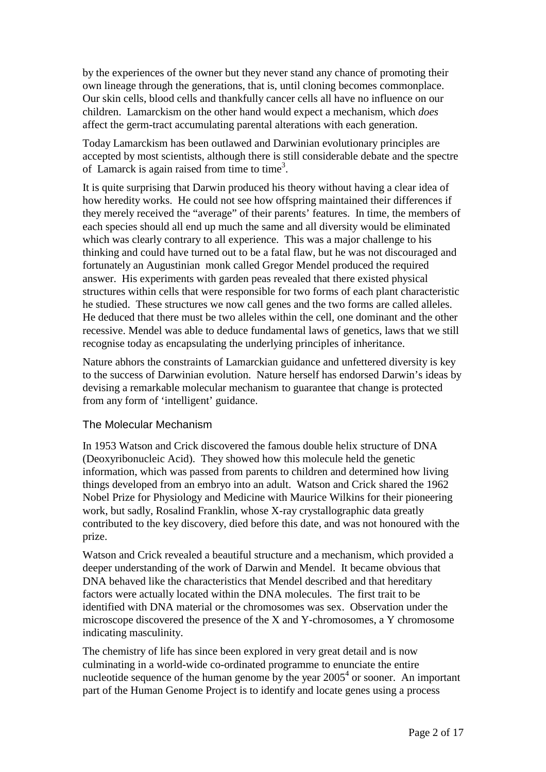by the experiences of the owner but they never stand any chance of promoting their own lineage through the generations, that is, until cloning becomes commonplace. Our skin cells, blood cells and thankfully cancer cells all have no influence on our children. Lamarckism on the other hand would expect a mechanism, which *does* affect the germ-tract accumulating parental alterations with each generation.

Today Lamarckism has been outlawed and Darwinian evolutionary principles are accepted by most scientists, although there is still considerable debate and the spectre of Lamarck is again raised from time to time<sup>3</sup>.

It is quite surprising that Darwin produced his theory without having a clear idea of how heredity works. He could not see how offspring maintained their differences if they merely received the "average" of their parents' features. In time, the members of each species should all end up much the same and all diversity would be eliminated which was clearly contrary to all experience. This was a major challenge to his thinking and could have turned out to be a fatal flaw, but he was not discouraged and fortunately an Augustinian monk called Gregor Mendel produced the required answer. His experiments with garden peas revealed that there existed physical structures within cells that were responsible for two forms of each plant characteristic he studied. These structures we now call genes and the two forms are called alleles. He deduced that there must be two alleles within the cell, one dominant and the other recessive. Mendel was able to deduce fundamental laws of genetics, laws that we still recognise today as encapsulating the underlying principles of inheritance.

Nature abhors the constraints of Lamarckian guidance and unfettered diversity is key to the success of Darwinian evolution. Nature herself has endorsed Darwin's ideas by devising a remarkable molecular mechanism to guarantee that change is protected from any form of 'intelligent' guidance.

#### The Molecular Mechanism

In 1953 Watson and Crick discovered the famous double helix structure of DNA (Deoxyribonucleic Acid). They showed how this molecule held the genetic information, which was passed from parents to children and determined how living things developed from an embryo into an adult. Watson and Crick shared the 1962 Nobel Prize for Physiology and Medicine with Maurice Wilkins for their pioneering work, but sadly, Rosalind Franklin, whose X-ray crystallographic data greatly contributed to the key discovery, died before this date, and was not honoured with the prize.

Watson and Crick revealed a beautiful structure and a mechanism, which provided a deeper understanding of the work of Darwin and Mendel. It became obvious that DNA behaved like the characteristics that Mendel described and that hereditary factors were actually located within the DNA molecules. The first trait to be identified with DNA material or the chromosomes was sex. Observation under the microscope discovered the presence of the X and Y-chromosomes, a Y chromosome indicating masculinity.

The chemistry of life has since been explored in very great detail and is now culminating in a world-wide co-ordinated programme to enunciate the entire nucleotide sequence of the human genome by the year  $2005<sup>4</sup>$  $2005<sup>4</sup>$  $2005<sup>4</sup>$  or sooner. An important part of the Human Genome Project is to identify and locate genes using a process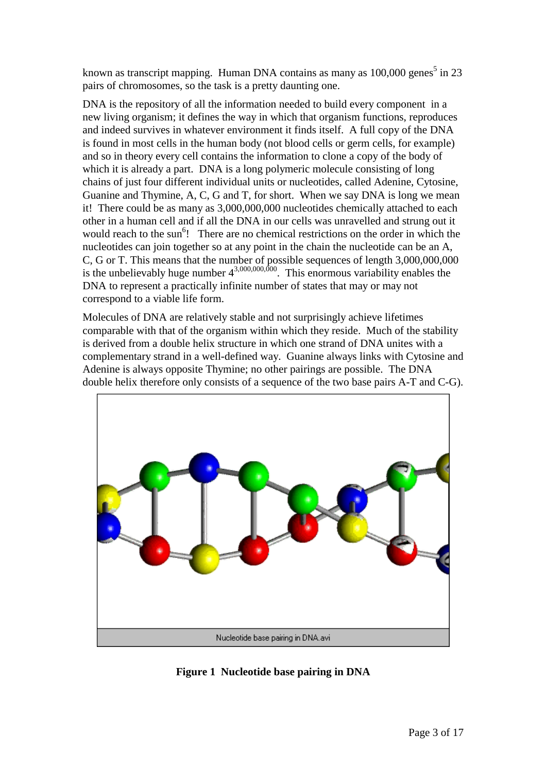known as transcript mapping. Human DNA contains as many as  $100,000$  genes<sup>5</sup> in 23 pairs of chromosomes, so the task is a pretty daunting one.

DNA is the repository of all the information needed to build every component in a new living organism; it defines the way in which that organism functions, reproduces and indeed survives in whatever environment it finds itself. A full copy of the DNA is found in most cells in the human body (not blood cells or germ cells, for example) and so in theory every cell contains the information to clone a copy of the body of which it is already a part. DNA is a long polymeric molecule consisting of long chains of just four different individual units or nucleotides, called Adenine, Cytosine, Guanine and Thymine, A, C, G and T, for short. When we say DNA is long we mean it! There could be as many as 3,000,000,000 nucleotides chemically attached to each other in a human cell and if all the DNA in our cells was unravelled and strung out it would reach to the sun<sup>[6](#page-16-0)</sup>! There are no chemical restrictions on the order in which the nucleotides can join together so at any point in the chain the nucleotide can be an A, C, G or T. This means that the number of possible sequences of length 3,000,000,000 is the unbelievably huge number  $4^{3,000,000,000}$ . This enormous variability enables the DNA to represent a practically infinite number of states that may or may not correspond to a viable life form.

Molecules of DNA are relatively stable and not surprisingly achieve lifetimes comparable with that of the organism within which they reside. Much of the stability is derived from a double helix structure in which one strand of DNA unites with a complementary strand in a well-defined way. Guanine always links with Cytosine and Adenine is always opposite Thymine; no other pairings are possible. The DNA double helix therefore only consists of a sequence of the two base pairs A-T and C-G).



**Figure 1 Nucleotide base pairing in DNA**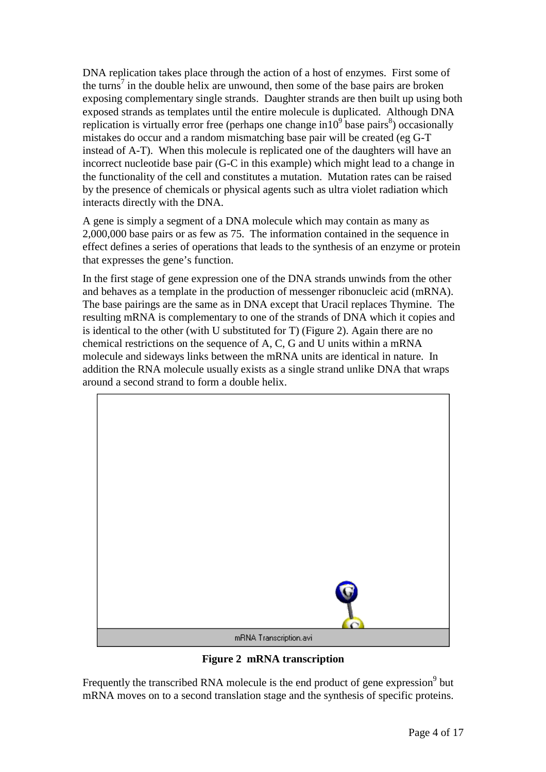DNA replication takes place through the action of a host of enzymes. First some of the turns<sup>[7](#page-16-0)</sup> in the double helix are unwound, then some of the base pairs are broken exposing complementary single strands. Daughter strands are then built up using both exposed strands as templates until the entire molecule is duplicated. Although DNA replication is virtually error free (perhaps one change in  $10^9$  base pairs<sup>8</sup>) occasionally mistakes do occur and a random mismatching base pair will be created (eg G-T instead of A-T). When this molecule is replicated one of the daughters will have an incorrect nucleotide base pair (G-C in this example) which might lead to a change in the functionality of the cell and constitutes a mutation. Mutation rates can be raised by the presence of chemicals or physical agents such as ultra violet radiation which interacts directly with the DNA.

A gene is simply a segment of a DNA molecule which may contain as many as 2,000,000 base pairs or as few as 75. The information contained in the sequence in effect defines a series of operations that leads to the synthesis of an enzyme or protein that expresses the gene's function.

In the first stage of gene expression one of the DNA strands unwinds from the other and behaves as a template in the production of messenger ribonucleic acid (mRNA). The base pairings are the same as in DNA except that Uracil replaces Thymine. The resulting mRNA is complementary to one of the strands of DNA which it copies and is identical to the other (with U substituted for T) (Figure 2). Again there are no chemical restrictions on the sequence of A, C, G and U units within a mRNA molecule and sideways links between the mRNA units are identical in nature. In addition the RNA molecule usually exists as a single strand unlike DNA that wraps around a second strand to form a double helix.



**Figure 2 mRNA transcription**

Frequently the transcribed RNA molecule is the end product of gene expression $^9$  $^9$  but mRNA moves on to a second translation stage and the synthesis of specific proteins.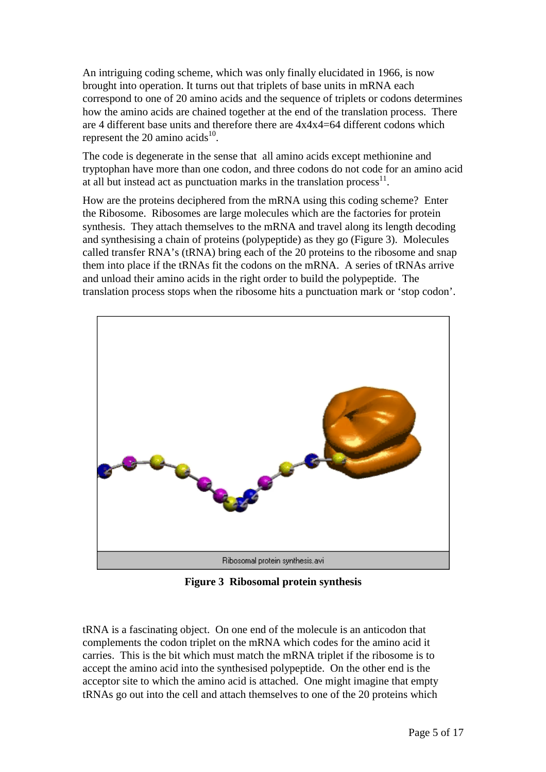An intriguing coding scheme, which was only finally elucidated in 1966, is now brought into operation. It turns out that triplets of base units in mRNA each correspond to one of 20 amino acids and the sequence of triplets or codons determines how the amino acids are chained together at the end of the translation process. There are 4 different base units and therefore there are 4x4x4=64 different codons which represent the 20 amino acids $^{10}$ .

The code is degenerate in the sense that all amino acids except methionine and tryptophan have more than one codon, and three codons do not code for an amino acid at all but instead act as punctuation marks in the translation process<sup>11</sup>.

How are the proteins deciphered from the mRNA using this coding scheme? Enter the Ribosome. Ribosomes are large molecules which are the factories for protein synthesis. They attach themselves to the mRNA and travel along its length decoding and synthesising a chain of proteins (polypeptide) as they go (Figure 3). Molecules called transfer RNA's (tRNA) bring each of the 20 proteins to the ribosome and snap them into place if the tRNAs fit the codons on the mRNA. A series of tRNAs arrive and unload their amino acids in the right order to build the polypeptide. The translation process stops when the ribosome hits a punctuation mark or 'stop codon'.



**Figure 3 Ribosomal protein synthesis**

tRNA is a fascinating object. On one end of the molecule is an anticodon that complements the codon triplet on the mRNA which codes for the amino acid it carries. This is the bit which must match the mRNA triplet if the ribosome is to accept the amino acid into the synthesised polypeptide. On the other end is the acceptor site to which the amino acid is attached. One might imagine that empty tRNAs go out into the cell and attach themselves to one of the 20 proteins which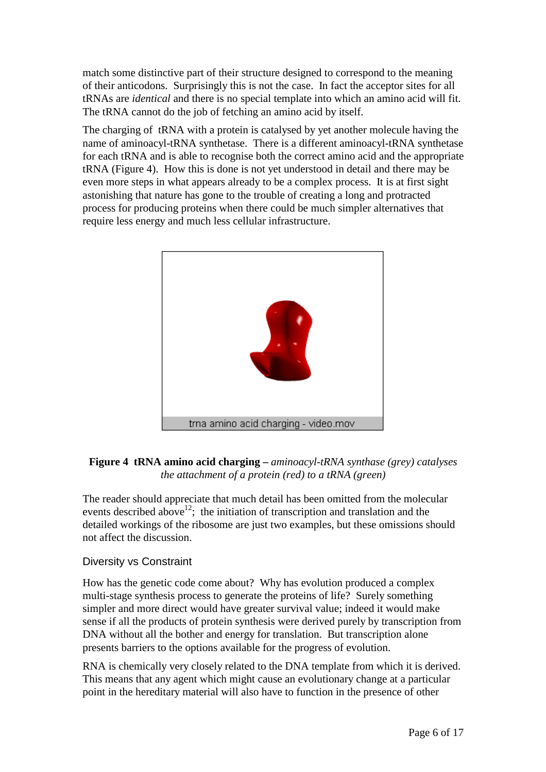match some distinctive part of their structure designed to correspond to the meaning of their anticodons. Surprisingly this is not the case. In fact the acceptor sites for all tRNAs are *identical* and there is no special template into which an amino acid will fit. The tRNA cannot do the job of fetching an amino acid by itself.

The charging of tRNA with a protein is catalysed by yet another molecule having the name of aminoacyl-tRNA synthetase. There is a different aminoacyl-tRNA synthetase for each tRNA and is able to recognise both the correct amino acid and the appropriate tRNA (Figure 4). How this is done is not yet understood in detail and there may be even more steps in what appears already to be a complex process. It is at first sight astonishing that nature has gone to the trouble of creating a long and protracted process for producing proteins when there could be much simpler alternatives that require less energy and much less cellular infrastructure.





The reader should appreciate that much detail has been omitted from the molecular events described above<sup>12</sup>; the initiation of transcription and translation and the detailed workings of the ribosome are just two examples, but these omissions should not affect the discussion.

## Diversity vs Constraint

How has the genetic code come about? Why has evolution produced a complex multi-stage synthesis process to generate the proteins of life? Surely something simpler and more direct would have greater survival value; indeed it would make sense if all the products of protein synthesis were derived purely by transcription from DNA without all the bother and energy for translation. But transcription alone presents barriers to the options available for the progress of evolution.

RNA is chemically very closely related to the DNA template from which it is derived. This means that any agent which might cause an evolutionary change at a particular point in the hereditary material will also have to function in the presence of other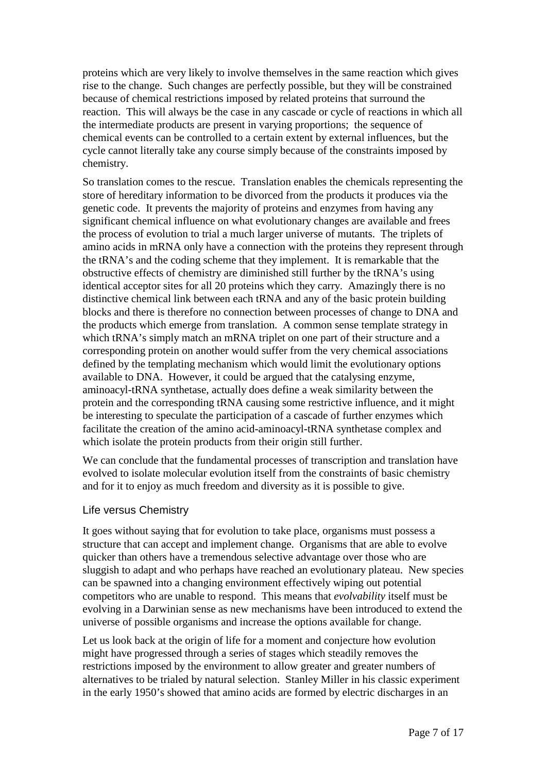proteins which are very likely to involve themselves in the same reaction which gives rise to the change. Such changes are perfectly possible, but they will be constrained because of chemical restrictions imposed by related proteins that surround the reaction. This will always be the case in any cascade or cycle of reactions in which all the intermediate products are present in varying proportions; the sequence of chemical events can be controlled to a certain extent by external influences, but the cycle cannot literally take any course simply because of the constraints imposed by chemistry.

So translation comes to the rescue. Translation enables the chemicals representing the store of hereditary information to be divorced from the products it produces via the genetic code. It prevents the majority of proteins and enzymes from having any significant chemical influence on what evolutionary changes are available and frees the process of evolution to trial a much larger universe of mutants. The triplets of amino acids in mRNA only have a connection with the proteins they represent through the tRNA's and the coding scheme that they implement. It is remarkable that the obstructive effects of chemistry are diminished still further by the tRNA's using identical acceptor sites for all 20 proteins which they carry. Amazingly there is no distinctive chemical link between each tRNA and any of the basic protein building blocks and there is therefore no connection between processes of change to DNA and the products which emerge from translation. A common sense template strategy in which tRNA's simply match an mRNA triplet on one part of their structure and a corresponding protein on another would suffer from the very chemical associations defined by the templating mechanism which would limit the evolutionary options available to DNA. However, it could be argued that the catalysing enzyme, aminoacyl-tRNA synthetase, actually does define a weak similarity between the protein and the corresponding tRNA causing some restrictive influence, and it might be interesting to speculate the participation of a cascade of further enzymes which facilitate the creation of the amino acid-aminoacyl-tRNA synthetase complex and which isolate the protein products from their origin still further.

We can conclude that the fundamental processes of transcription and translation have evolved to isolate molecular evolution itself from the constraints of basic chemistry and for it to enjoy as much freedom and diversity as it is possible to give.

#### Life versus Chemistry

It goes without saying that for evolution to take place, organisms must possess a structure that can accept and implement change. Organisms that are able to evolve quicker than others have a tremendous selective advantage over those who are sluggish to adapt and who perhaps have reached an evolutionary plateau. New species can be spawned into a changing environment effectively wiping out potential competitors who are unable to respond. This means that *evolvability* itself must be evolving in a Darwinian sense as new mechanisms have been introduced to extend the universe of possible organisms and increase the options available for change.

Let us look back at the origin of life for a moment and conjecture how evolution might have progressed through a series of stages which steadily removes the restrictions imposed by the environment to allow greater and greater numbers of alternatives to be trialed by natural selection. Stanley Miller in his classic experiment in the early 1950's showed that amino acids are formed by electric discharges in an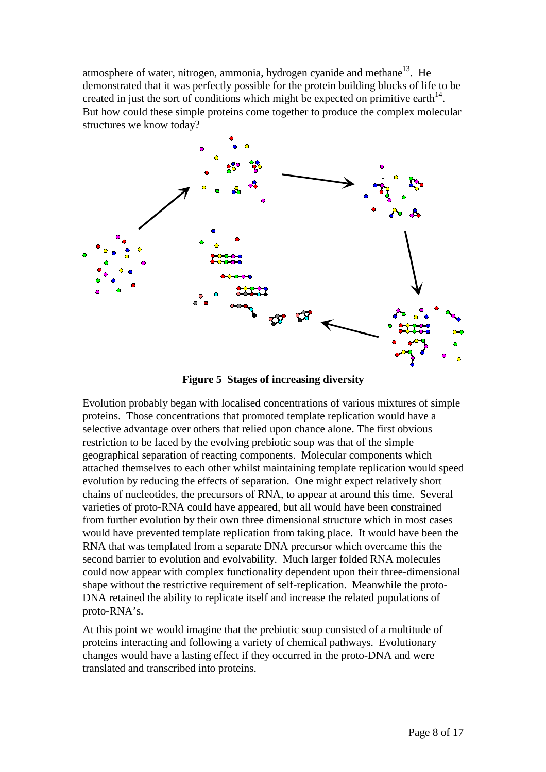atmosphere of water, nitrogen, ammonia, hydrogen cyanide and methane<sup>13</sup>. He demonstrated that it was perfectly possible for the protein building blocks of life to be created in just the sort of conditions which might be expected on primitive earth<sup>14</sup>. But how could these simple proteins come together to produce the complex molecular structures we know today?



**Figure 5 Stages of increasing diversity**

Evolution probably began with localised concentrations of various mixtures of simple proteins. Those concentrations that promoted template replication would have a selective advantage over others that relied upon chance alone. The first obvious restriction to be faced by the evolving prebiotic soup was that of the simple geographical separation of reacting components. Molecular components which attached themselves to each other whilst maintaining template replication would speed evolution by reducing the effects of separation. One might expect relatively short chains of nucleotides, the precursors of RNA, to appear at around this time. Several varieties of proto-RNA could have appeared, but all would have been constrained from further evolution by their own three dimensional structure which in most cases would have prevented template replication from taking place. It would have been the RNA that was templated from a separate DNA precursor which overcame this the second barrier to evolution and evolvability. Much larger folded RNA molecules could now appear with complex functionality dependent upon their three-dimensional shape without the restrictive requirement of self-replication. Meanwhile the proto-DNA retained the ability to replicate itself and increase the related populations of proto-RNA's.

At this point we would imagine that the prebiotic soup consisted of a multitude of proteins interacting and following a variety of chemical pathways. Evolutionary changes would have a lasting effect if they occurred in the proto-DNA and were translated and transcribed into proteins.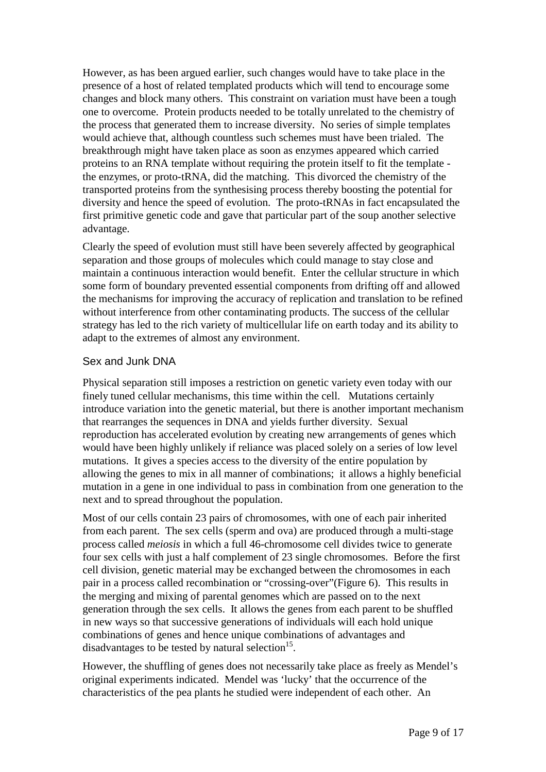However, as has been argued earlier, such changes would have to take place in the presence of a host of related templated products which will tend to encourage some changes and block many others. This constraint on variation must have been a tough one to overcome. Protein products needed to be totally unrelated to the chemistry of the process that generated them to increase diversity. No series of simple templates would achieve that, although countless such schemes must have been trialed. The breakthrough might have taken place as soon as enzymes appeared which carried proteins to an RNA template without requiring the protein itself to fit the template the enzymes, or proto-tRNA, did the matching. This divorced the chemistry of the transported proteins from the synthesising process thereby boosting the potential for diversity and hence the speed of evolution. The proto-tRNAs in fact encapsulated the first primitive genetic code and gave that particular part of the soup another selective advantage.

Clearly the speed of evolution must still have been severely affected by geographical separation and those groups of molecules which could manage to stay close and maintain a continuous interaction would benefit. Enter the cellular structure in which some form of boundary prevented essential components from drifting off and allowed the mechanisms for improving the accuracy of replication and translation to be refined without interference from other contaminating products. The success of the cellular strategy has led to the rich variety of multicellular life on earth today and its ability to adapt to the extremes of almost any environment.

## Sex and Junk DNA

Physical separation still imposes a restriction on genetic variety even today with our finely tuned cellular mechanisms, this time within the cell. Mutations certainly introduce variation into the genetic material, but there is another important mechanism that rearranges the sequences in DNA and yields further diversity. Sexual reproduction has accelerated evolution by creating new arrangements of genes which would have been highly unlikely if reliance was placed solely on a series of low level mutations. It gives a species access to the diversity of the entire population by allowing the genes to mix in all manner of combinations; it allows a highly beneficial mutation in a gene in one individual to pass in combination from one generation to the next and to spread throughout the population.

Most of our cells contain 23 pairs of chromosomes, with one of each pair inherited from each parent. The sex cells (sperm and ova) are produced through a multi-stage process called *meiosis* in which a full 46-chromosome cell divides twice to generate four sex cells with just a half complement of 23 single chromosomes. Before the first cell division, genetic material may be exchanged between the chromosomes in each pair in a process called recombination or "crossing-over"[\(Figure 6\)](#page-9-0). This results in the merging and mixing of parental genomes which are passed on to the next generation through the sex cells. It allows the genes from each parent to be shuffled in new ways so that successive generations of individuals will each hold unique combinations of genes and hence unique combinations of advantages and disadvantages to be tested by natural selection $15$ .

However, the shuffling of genes does not necessarily take place as freely as Mendel's original experiments indicated. Mendel was 'lucky' that the occurrence of the characteristics of the pea plants he studied were independent of each other. An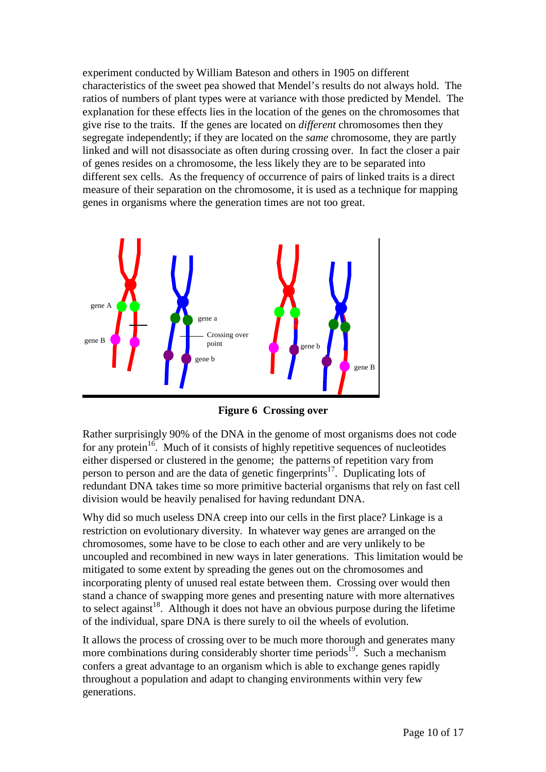<span id="page-9-0"></span>experiment conducted by William Bateson and others in 1905 on different characteristics of the sweet pea showed that Mendel's results do not always hold. The ratios of numbers of plant types were at variance with those predicted by Mendel. The explanation for these effects lies in the location of the genes on the chromosomes that give rise to the traits. If the genes are located on *different* chromosomes then they segregate independently; if they are located on the *same* chromosome, they are partly linked and will not disassociate as often during crossing over. In fact the closer a pair of genes resides on a chromosome, the less likely they are to be separated into different sex cells. As the frequency of occurrence of pairs of linked traits is a direct measure of their separation on the chromosome, it is used as a technique for mapping genes in organisms where the generation times are not too great.



**Figure 6 Crossing over**

Rather surprisingly 90% of the DNA in the genome of most organisms does not code for any protein<sup>16</sup>. Much of it consists of highly repetitive sequences of nucleotides either dispersed or clustered in the genome; the patterns of repetition vary from person to person and are the data of genetic fingerprints<sup>17</sup>. Duplicating lots of redundant DNA takes time so more primitive bacterial organisms that rely on fast cell division would be heavily penalised for having redundant DNA.

Why did so much useless DNA creep into our cells in the first place? Linkage is a restriction on evolutionary diversity. In whatever way genes are arranged on the chromosomes, some have to be close to each other and are very unlikely to be uncoupled and recombined in new ways in later generations. This limitation would be mitigated to some extent by spreading the genes out on the chromosomes and incorporating plenty of unused real estate between them. Crossing over would then stand a chance of swapping more genes and presenting nature with more alternatives to select against<sup>18</sup>. Although it does not have an obvious purpose during the lifetime of the individual, spare DNA is there surely to oil the wheels of evolution.

It allows the process of crossing over to be much more thorough and generates many more combinations during considerably shorter time periods<sup>19</sup>. Such a mechanism confers a great advantage to an organism which is able to exchange genes rapidly throughout a population and adapt to changing environments within very few generations.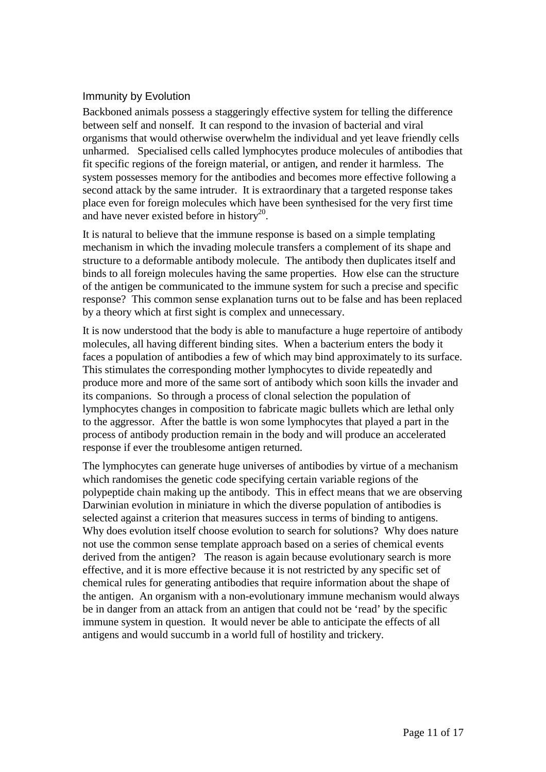# Immunity by Evolution

Backboned animals possess a staggeringly effective system for telling the difference between self and nonself. It can respond to the invasion of bacterial and viral organisms that would otherwise overwhelm the individual and yet leave friendly cells unharmed. Specialised cells called lymphocytes produce molecules of antibodies that fit specific regions of the foreign material, or antigen, and render it harmless. The system possesses memory for the antibodies and becomes more effective following a second attack by the same intruder. It is extraordinary that a targeted response takes place even for foreign molecules which have been synthesised for the very first time and have never existed before in history<sup>20</sup>.

It is natural to believe that the immune response is based on a simple templating mechanism in which the invading molecule transfers a complement of its shape and structure to a deformable antibody molecule. The antibody then duplicates itself and binds to all foreign molecules having the same properties. How else can the structure of the antigen be communicated to the immune system for such a precise and specific response? This common sense explanation turns out to be false and has been replaced by a theory which at first sight is complex and unnecessary.

It is now understood that the body is able to manufacture a huge repertoire of antibody molecules, all having different binding sites. When a bacterium enters the body it faces a population of antibodies a few of which may bind approximately to its surface. This stimulates the corresponding mother lymphocytes to divide repeatedly and produce more and more of the same sort of antibody which soon kills the invader and its companions. So through a process of clonal selection the population of lymphocytes changes in composition to fabricate magic bullets which are lethal only to the aggressor. After the battle is won some lymphocytes that played a part in the process of antibody production remain in the body and will produce an accelerated response if ever the troublesome antigen returned.

The lymphocytes can generate huge universes of antibodies by virtue of a mechanism which randomises the genetic code specifying certain variable regions of the polypeptide chain making up the antibody. This in effect means that we are observing Darwinian evolution in miniature in which the diverse population of antibodies is selected against a criterion that measures success in terms of binding to antigens. Why does evolution itself choose evolution to search for solutions? Why does nature not use the common sense template approach based on a series of chemical events derived from the antigen? The reason is again because evolutionary search is more effective, and it is more effective because it is not restricted by any specific set of chemical rules for generating antibodies that require information about the shape of the antigen. An organism with a non-evolutionary immune mechanism would always be in danger from an attack from an antigen that could not be 'read' by the specific immune system in question. It would never be able to anticipate the effects of all antigens and would succumb in a world full of hostility and trickery.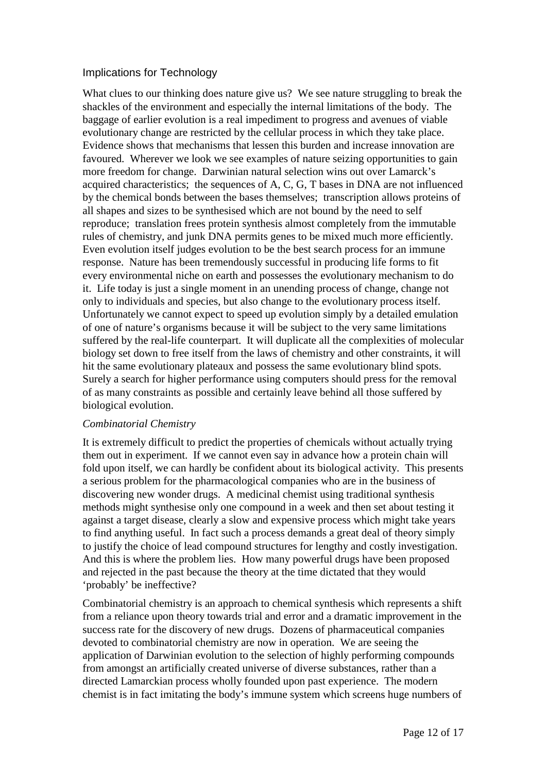## Implications for Technology

What clues to our thinking does nature give us? We see nature struggling to break the shackles of the environment and especially the internal limitations of the body. The baggage of earlier evolution is a real impediment to progress and avenues of viable evolutionary change are restricted by the cellular process in which they take place. Evidence shows that mechanisms that lessen this burden and increase innovation are favoured. Wherever we look we see examples of nature seizing opportunities to gain more freedom for change. Darwinian natural selection wins out over Lamarck's acquired characteristics; the sequences of A, C, G, T bases in DNA are not influenced by the chemical bonds between the bases themselves; transcription allows proteins of all shapes and sizes to be synthesised which are not bound by the need to self reproduce; translation frees protein synthesis almost completely from the immutable rules of chemistry, and junk DNA permits genes to be mixed much more efficiently. Even evolution itself judges evolution to be the best search process for an immune response. Nature has been tremendously successful in producing life forms to fit every environmental niche on earth and possesses the evolutionary mechanism to do it. Life today is just a single moment in an unending process of change, change not only to individuals and species, but also change to the evolutionary process itself. Unfortunately we cannot expect to speed up evolution simply by a detailed emulation of one of nature's organisms because it will be subject to the very same limitations suffered by the real-life counterpart. It will duplicate all the complexities of molecular biology set down to free itself from the laws of chemistry and other constraints, it will hit the same evolutionary plateaux and possess the same evolutionary blind spots. Surely a search for higher performance using computers should press for the removal of as many constraints as possible and certainly leave behind all those suffered by biological evolution.

#### *Combinatorial Chemistry*

It is extremely difficult to predict the properties of chemicals without actually trying them out in experiment. If we cannot even say in advance how a protein chain will fold upon itself, we can hardly be confident about its biological activity. This presents a serious problem for the pharmacological companies who are in the business of discovering new wonder drugs. A medicinal chemist using traditional synthesis methods might synthesise only one compound in a week and then set about testing it against a target disease, clearly a slow and expensive process which might take years to find anything useful. In fact such a process demands a great deal of theory simply to justify the choice of lead compound structures for lengthy and costly investigation. And this is where the problem lies. How many powerful drugs have been proposed and rejected in the past because the theory at the time dictated that they would 'probably' be ineffective?

Combinatorial chemistry is an approach to chemical synthesis which represents a shift from a reliance upon theory towards trial and error and a dramatic improvement in the success rate for the discovery of new drugs. Dozens of pharmaceutical companies devoted to combinatorial chemistry are now in operation. We are seeing the application of Darwinian evolution to the selection of highly performing compounds from amongst an artificially created universe of diverse substances, rather than a directed Lamarckian process wholly founded upon past experience. The modern chemist is in fact imitating the body's immune system which screens huge numbers of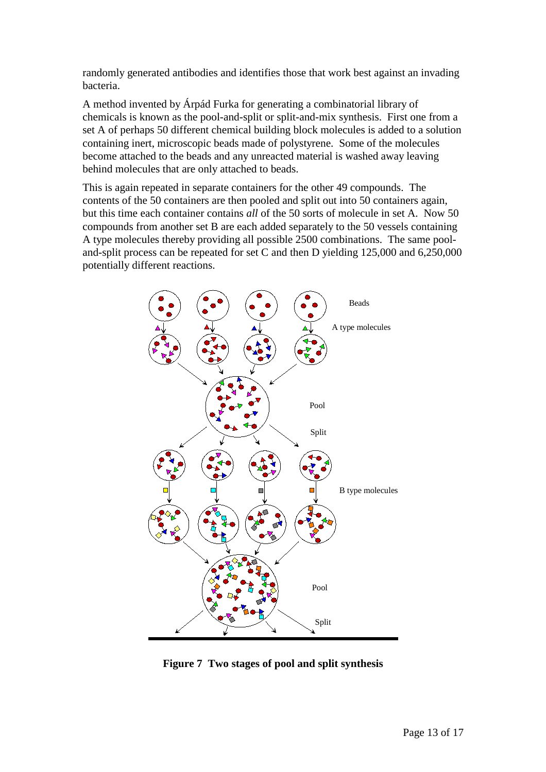randomly generated antibodies and identifies those that work best against an invading bacteria.

A method invented by Árpád Furka for generating a combinatorial library of chemicals is known as the pool-and-split or split-and-mix synthesis. First one from a set A of perhaps 50 different chemical building block molecules is added to a solution containing inert, microscopic beads made of polystyrene. Some of the molecules become attached to the beads and any unreacted material is washed away leaving behind molecules that are only attached to beads.

This is again repeated in separate containers for the other 49 compounds. The contents of the 50 containers are then pooled and split out into 50 containers again, but this time each container contains *all* of the 50 sorts of molecule in set A. Now 50 compounds from another set B are each added separately to the 50 vessels containing A type molecules thereby providing all possible 2500 combinations. The same pooland-split process can be repeated for set C and then D yielding 125,000 and 6,250,000 potentially different reactions.



**Figure 7 Two stages of pool and split synthesis**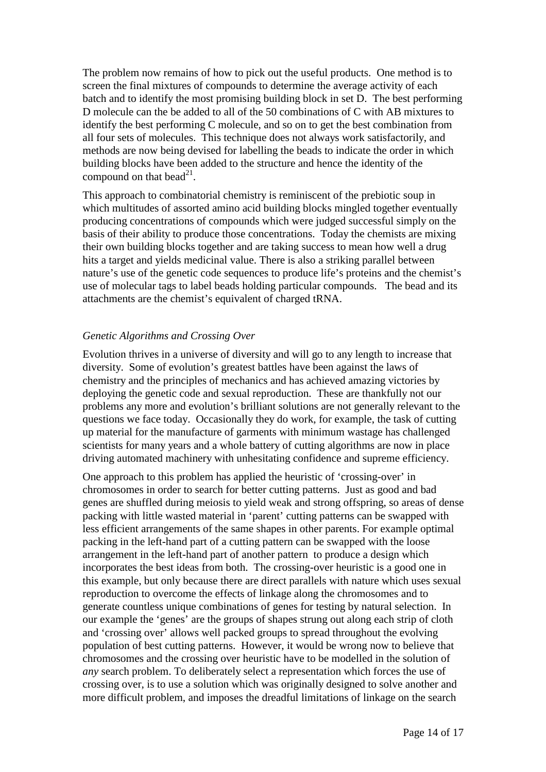The problem now remains of how to pick out the useful products. One method is to screen the final mixtures of compounds to determine the average activity of each batch and to identify the most promising building block in set D. The best performing D molecule can the be added to all of the 50 combinations of C with AB mixtures to identify the best performing C molecule, and so on to get the best combination from all four sets of molecules. This technique does not always work satisfactorily, and methods are now being devised for labelling the beads to indicate the order in which building blocks have been added to the structure and hence the identity of the compound on that bead $^{21}$ .

This approach to combinatorial chemistry is reminiscent of the prebiotic soup in which multitudes of assorted amino acid building blocks mingled together eventually producing concentrations of compounds which were judged successful simply on the basis of their ability to produce those concentrations. Today the chemists are mixing their own building blocks together and are taking success to mean how well a drug hits a target and yields medicinal value. There is also a striking parallel between nature's use of the genetic code sequences to produce life's proteins and the chemist's use of molecular tags to label beads holding particular compounds. The bead and its attachments are the chemist's equivalent of charged tRNA.

## *Genetic Algorithms and Crossing Over*

Evolution thrives in a universe of diversity and will go to any length to increase that diversity. Some of evolution's greatest battles have been against the laws of chemistry and the principles of mechanics and has achieved amazing victories by deploying the genetic code and sexual reproduction. These are thankfully not our problems any more and evolution's brilliant solutions are not generally relevant to the questions we face today. Occasionally they do work, for example, the task of cutting up material for the manufacture of garments with minimum wastage has challenged scientists for many years and a whole battery of cutting algorithms are now in place driving automated machinery with unhesitating confidence and supreme efficiency.

One approach to this problem has applied the heuristic of 'crossing-over' in chromosomes in order to search for better cutting patterns. Just as good and bad genes are shuffled during meiosis to yield weak and strong offspring, so areas of dense packing with little wasted material in 'parent' cutting patterns can be swapped with less efficient arrangements of the same shapes in other parents. For example optimal packing in the left-hand part of a cutting pattern can be swapped with the loose arrangement in the left-hand part of another pattern to produce a design which incorporates the best ideas from both. The crossing-over heuristic is a good one in this example, but only because there are direct parallels with nature which uses sexual reproduction to overcome the effects of linkage along the chromosomes and to generate countless unique combinations of genes for testing by natural selection. In our example the 'genes' are the groups of shapes strung out along each strip of cloth and 'crossing over' allows well packed groups to spread throughout the evolving population of best cutting patterns. However, it would be wrong now to believe that chromosomes and the crossing over heuristic have to be modelled in the solution of *any* search problem. To deliberately select a representation which forces the use of crossing over, is to use a solution which was originally designed to solve another and more difficult problem, and imposes the dreadful limitations of linkage on the search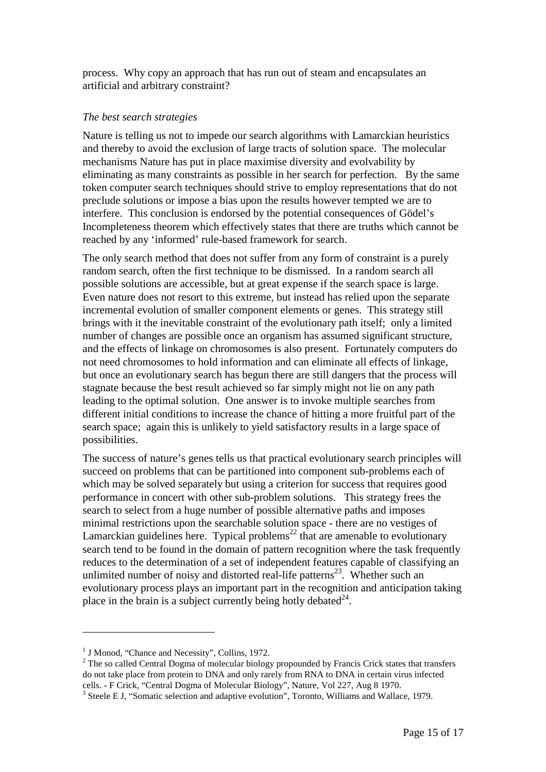process. Why copy an approach that has run out of steam and encapsulates an artificial and arbitrary constraint?

#### *The best search strategies*

Nature is telling us not to impede our search algorithms with Lamarckian heuristics and thereby to avoid the exclusion of large tracts of solution space. The molecular mechanisms Nature has put in place maximise diversity and evolvability by eliminating as many constraints as possible in her search for perfection. By the same token computer search techniques should strive to employ representations that do not preclude solutions or impose a bias upon the results however tempted we are to interfere. This conclusion is endorsed by the potential consequences of Gödel's Incompleteness theorem which effectively states that there are truths which cannot be reached by any 'informed' rule-based framework for search.

The only search method that does not suffer from any form of constraint is a purely random search, often the first technique to be dismissed. In a random search all possible solutions are accessible, but at great expense if the search space is large. Even nature does not resort to this extreme, but instead has relied upon the separate incremental evolution of smaller component elements or genes. This strategy still brings with it the inevitable constraint of the evolutionary path itself; only a limited number of changes are possible once an organism has assumed significant structure, and the effects of linkage on chromosomes is also present. Fortunately computers do not need chromosomes to hold information and can eliminate all effects of linkage, but once an evolutionary search has begun there are still dangers that the process will stagnate because the best result achieved so far simply might not lie on any path leading to the optimal solution. One answer is to invoke multiple searches from different initial conditions to increase the chance of hitting a more fruitful part of the search space; again this is unlikely to yield satisfactory results in a large space of possibilities.

The success of nature's genes tells us that practical evolutionary search principles will succeed on problems that can be partitioned into component sub-problems each of which may be solved separately but using a criterion for success that requires good performance in concert with other sub-problem solutions. This strategy frees the search to select from a huge number of possible alternative paths and imposes minimal restrictions upon the searchable solution space - there are no vestiges of Lamarckian guidelines here. Typical problems<sup>22</sup> that are amenable to evolutionary search tend to be found in the domain of pattern recognition where the task frequently reduces to the determination of a set of independent features capable of classifying an unlimited number of noisy and distorted real-life patterns<sup>23</sup>. Whether such an evolutionary process plays an important part in the recognition and anticipation taking place in the brain is a subject currently being hotly debated  $24$ .

l

<sup>&</sup>lt;sup>1</sup> J Monod, "Chance and Necessity", Collins, 1972.

 $2$  The so called Central Dogma of molecular biology propounded by Francis Crick states that transfers do not take place from protein to DNA and only rarely from RNA to DNA in certain virus infected cells. - F Crick, "Central Dogma of Molecular Biology", Nature, Vol 227, Aug 8 1970.

<sup>&</sup>lt;sup>3</sup> Steele E J, "Somatic selection and adaptive evolution", Toronto, Williams and Wallace, 1979.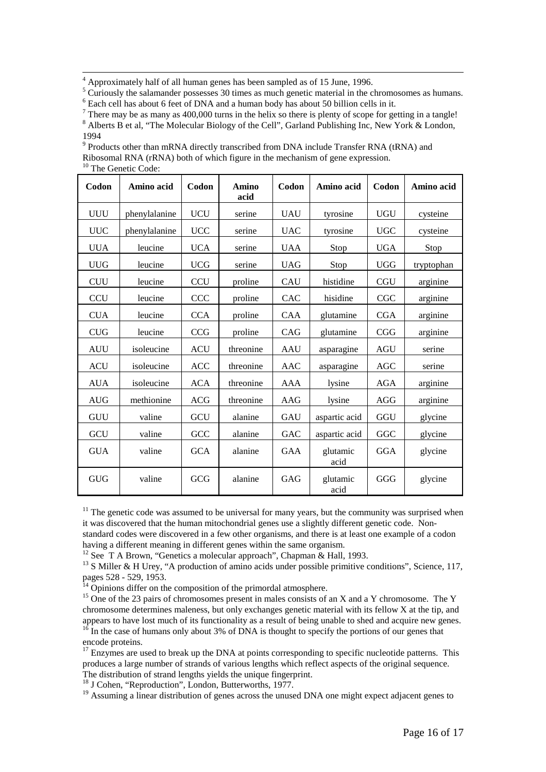$\frac{1}{4}$  $4$  Approximately half of all human genes has been sampled as of 15 June, 1996.

 $<sup>5</sup>$  Curiously the salamander possesses 30 times as much genetic material in the chromosomes as humans.</sup>  $6$  Each cell has about 6 feet of DNA and a human body has about 50 billion cells in it.

There may be as many as 400,000 turns in the helix so there is plenty of scope for getting in a tangle!

<sup>8</sup> Alberts B et al, "The Molecular Biology of the Cell", Garland Publishing Inc, New York & London, 1994

 $9$  Products other than mRNA directly transcribed from DNA include Transfer RNA (tRNA) and

Ribosomal RNA (rRNA) both of which figure in the mechanism of gene expression. <sup>10</sup> The Genetic Code:

| Codon      | Amino acid    | Codon      | <b>Amino</b><br>acid | Codon      | Amino acid       | Codon      | Amino acid |
|------------|---------------|------------|----------------------|------------|------------------|------------|------------|
| <b>UUU</b> | phenylalanine | <b>UCU</b> | serine               | <b>UAU</b> | tyrosine         | <b>UGU</b> | cysteine   |
| <b>UUC</b> | phenylalanine | <b>UCC</b> | serine               | <b>UAC</b> | tyrosine         | <b>UGC</b> | cysteine   |
| <b>UUA</b> | leucine       | <b>UCA</b> | serine               | <b>UAA</b> | Stop             | <b>UGA</b> | Stop       |
| <b>UUG</b> | leucine       | <b>UCG</b> | serine               | <b>UAG</b> | Stop             | <b>UGG</b> | tryptophan |
| <b>CUU</b> | leucine       | <b>CCU</b> | proline              | CAU        | histidine        | <b>CGU</b> | arginine   |
| <b>CCU</b> | leucine       | <b>CCC</b> | proline              | CAC        | hisidine         | CGC        | arginine   |
| <b>CUA</b> | leucine       | <b>CCA</b> | proline              | <b>CAA</b> | glutamine        | <b>CGA</b> | arginine   |
| <b>CUG</b> | leucine       | <b>CCG</b> | proline              | CAG        | glutamine        | CGG        | arginine   |
| <b>AUU</b> | isoleucine    | <b>ACU</b> | threonine            | AAU        | asparagine       | <b>AGU</b> | serine     |
| <b>ACU</b> | isoleucine    | <b>ACC</b> | threonine            | AAC        | asparagine       | <b>AGC</b> | serine     |
| <b>AUA</b> | isoleucine    | <b>ACA</b> | threonine            | <b>AAA</b> | lysine           | <b>AGA</b> | arginine   |
| <b>AUG</b> | methionine    | <b>ACG</b> | threonine            | AAG        | lysine           | AGG        | arginine   |
| <b>GUU</b> | valine        | GCU        | alanine              | <b>GAU</b> | aspartic acid    | GGU        | glycine    |
| <b>GCU</b> | valine        | GCC        | alanine              | <b>GAC</b> | aspartic acid    | GGC        | glycine    |
| <b>GUA</b> | valine        | <b>GCA</b> | alanine              | GAA        | glutamic<br>acid | <b>GGA</b> | glycine    |
| <b>GUG</b> | valine        | GCG        | alanine              | GAG        | glutamic<br>acid | GGG        | glycine    |

 $11$  The genetic code was assumed to be universal for many years, but the community was surprised when it was discovered that the human mitochondrial genes use a slightly different genetic code. Non-

standard codes were discovered in a few other organisms, and there is at least one example of a codon having a different meaning in different genes within the same organism.

<sup>12</sup> See T A Brown, "Genetics a molecular approach", Chapman & Hall, 1993.

<sup>13</sup> S Miller & H Urey, "A production of amino acids under possible primitive conditions", Science, 117, pages 528 - 529, 1953.

 $^{14}$  Opinions differ on the composition of the primordal atmosphere.

<sup>15</sup> One of the 23 pairs of chromosomes present in males consists of an X and a Y chromosome. The Y chromosome determines maleness, but only exchanges genetic material with its fellow X at the tip, and appears to have lost much of its functionality as a result of being unable to shed and acquire new genes.  $16$  In the case of humans only about 3% of DNA is thought to specify the portions of our genes that encode proteins.

<sup>17</sup> Enzymes are used to break up the DNA at points corresponding to specific nucleotide patterns. This produces a large number of strands of various lengths which reflect aspects of the original sequence. The distribution of strand lengths yields the unique fingerprint.

 $18$  J Cohen, "Reproduction", London, Butterworths, 1977.

<sup>19</sup> Assuming a linear distribution of genes across the unused DNA one might expect adjacent genes to